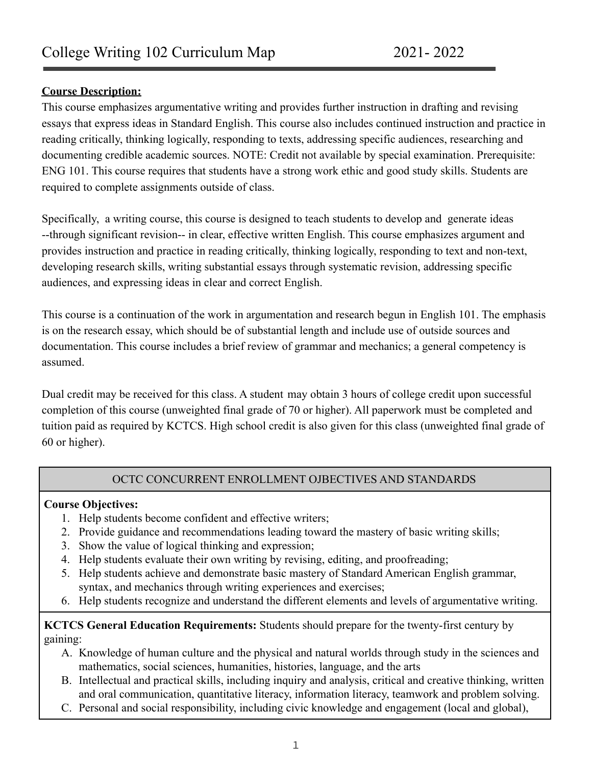## **Course Description:**

This course emphasizes argumentative writing and provides further instruction in drafting and revising essays that express ideas in Standard English. This course also includes continued instruction and practice in reading critically, thinking logically, responding to texts, addressing specific audiences, researching and documenting credible academic sources. NOTE: Credit not available by special examination. Prerequisite: ENG 101. This course requires that students have a strong work ethic and good study skills. Students are required to complete assignments outside of class.

Specifically, a writing course, this course is designed to teach students to develop and generate ideas --through significant revision-- in clear, effective written English. This course emphasizes argument and provides instruction and practice in reading critically, thinking logically, responding to text and non-text, developing research skills, writing substantial essays through systematic revision, addressing specific audiences, and expressing ideas in clear and correct English.

This course is a continuation of the work in argumentation and research begun in English 101. The emphasis is on the research essay, which should be of substantial length and include use of outside sources and documentation. This course includes a brief review of grammar and mechanics; a general competency is assumed.

Dual credit may be received for this class. A student may obtain 3 hours of college credit upon successful completion of this course (unweighted final grade of 70 or higher). All paperwork must be completed and tuition paid as required by KCTCS. High school credit is also given for this class (unweighted final grade of 60 or higher).

## OCTC CONCURRENT ENROLLMENT OJBECTIVES AND STANDARDS

## **Course Objectives:**

- 1. Help students become confident and effective writers;
- 2. Provide guidance and recommendations leading toward the mastery of basic writing skills;
- 3. Show the value of logical thinking and expression;
- 4. Help students evaluate their own writing by revising, editing, and proofreading;
- 5. Help students achieve and demonstrate basic mastery of Standard American English grammar, syntax, and mechanics through writing experiences and exercises;
- 6. Help students recognize and understand the different elements and levels of argumentative writing.

**KCTCS General Education Requirements:** Students should prepare for the twenty-first century by gaining:

- A. Knowledge of human culture and the physical and natural worlds through study in the sciences and mathematics, social sciences, humanities, histories, language, and the arts
- B. Intellectual and practical skills, including inquiry and analysis, critical and creative thinking, written and oral communication, quantitative literacy, information literacy, teamwork and problem solving.
- C. Personal and social responsibility, including civic knowledge and engagement (local and global),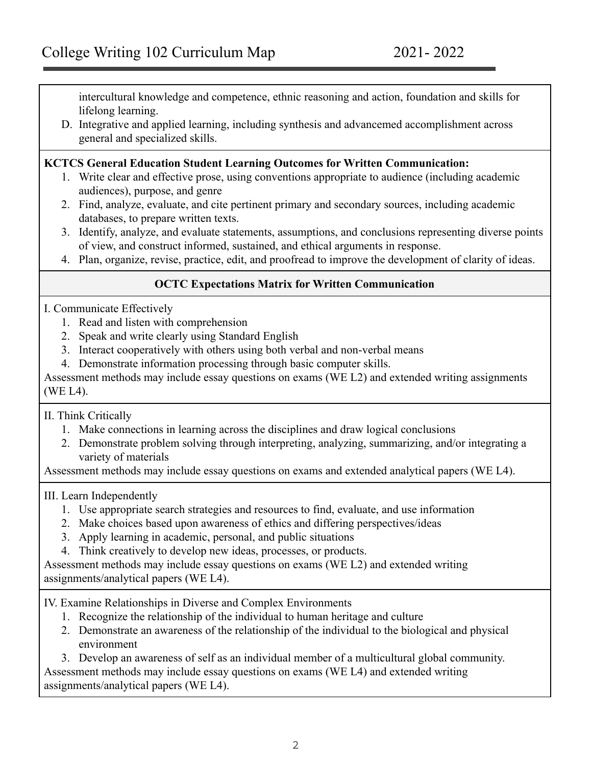intercultural knowledge and competence, ethnic reasoning and action, foundation and skills for lifelong learning.

D. Integrative and applied learning, including synthesis and advancemed accomplishment across general and specialized skills.

#### **KCTCS General Education Student Learning Outcomes for Written Communication:**

- 1. Write clear and effective prose, using conventions appropriate to audience (including academic audiences), purpose, and genre
- 2. Find, analyze, evaluate, and cite pertinent primary and secondary sources, including academic databases, to prepare written texts.
- 3. Identify, analyze, and evaluate statements, assumptions, and conclusions representing diverse points of view, and construct informed, sustained, and ethical arguments in response.
- 4. Plan, organize, revise, practice, edit, and proofread to improve the development of clarity of ideas.

## **OCTC Expectations Matrix for Written Communication**

#### I. Communicate Effectively

- 1. Read and listen with comprehension
- 2. Speak and write clearly using Standard English
- 3. Interact cooperatively with others using both verbal and non-verbal means
- 4. Demonstrate information processing through basic computer skills.

Assessment methods may include essay questions on exams (WE L2) and extended writing assignments (WE L4).

II. Think Critically

- 1. Make connections in learning across the disciplines and draw logical conclusions
- 2. Demonstrate problem solving through interpreting, analyzing, summarizing, and/or integrating a variety of materials

Assessment methods may include essay questions on exams and extended analytical papers (WE L4).

III. Learn Independently

- 1. Use appropriate search strategies and resources to find, evaluate, and use information
- 2. Make choices based upon awareness of ethics and differing perspectives/ideas
- 3. Apply learning in academic, personal, and public situations
- 4. Think creatively to develop new ideas, processes, or products.

Assessment methods may include essay questions on exams (WE L2) and extended writing assignments/analytical papers (WE L4).

IV. Examine Relationships in Diverse and Complex Environments

- 1. Recognize the relationship of the individual to human heritage and culture
- 2. Demonstrate an awareness of the relationship of the individual to the biological and physical environment

3. Develop an awareness of self as an individual member of a multicultural global community. Assessment methods may include essay questions on exams (WE L4) and extended writing

assignments/analytical papers (WE L4).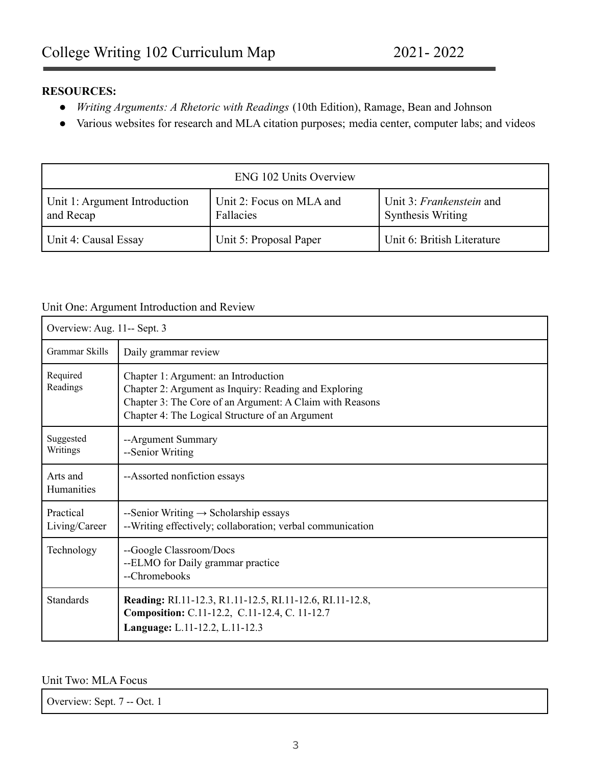### **RESOURCES:**

- *● Writing Arguments: A Rhetoric with Readings* (10th Edition), Ramage, Bean and Johnson
- Various websites for research and MLA citation purposes; media center, computer labs; and videos

| <b>ENG 102 Units Overview</b>              |                                       |                                                      |  |
|--------------------------------------------|---------------------------------------|------------------------------------------------------|--|
| Unit 1: Argument Introduction<br>and Recap | Unit 2: Focus on MLA and<br>Fallacies | Unit 3: Frankenstein and<br><b>Synthesis Writing</b> |  |
| Unit 4: Causal Essay                       | Unit 5: Proposal Paper                | Unit 6: British Literature                           |  |

#### Unit One: Argument Introduction and Review

| Overview: Aug. 11-- Sept. 3 |                                                                                                                                                                                                              |
|-----------------------------|--------------------------------------------------------------------------------------------------------------------------------------------------------------------------------------------------------------|
| Grammar Skills              | Daily grammar review                                                                                                                                                                                         |
| Required<br>Readings        | Chapter 1: Argument: an Introduction<br>Chapter 2: Argument as Inquiry: Reading and Exploring<br>Chapter 3: The Core of an Argument: A Claim with Reasons<br>Chapter 4: The Logical Structure of an Argument |
| Suggested<br>Writings       | --Argument Summary<br>--Senior Writing                                                                                                                                                                       |
| Arts and<br>Humanities      | --Assorted nonfiction essays                                                                                                                                                                                 |
| Practical<br>Living/Career  | --Senior Writing $\rightarrow$ Scholarship essays<br>--Writing effectively; collaboration; verbal communication                                                                                              |
| Technology                  | --Google Classroom/Docs<br>--ELMO for Daily grammar practice<br>--Chromebooks                                                                                                                                |
| <b>Standards</b>            | Reading: RI.11-12.3, R1.11-12.5, RI.11-12.6, RI.11-12.8,<br>Composition: C.11-12.2, C.11-12.4, C. 11-12.7<br>Language: L.11-12.2, L.11-12.3                                                                  |

#### Unit Two: MLA Focus

Overview: Sept. 7 -- Oct. 1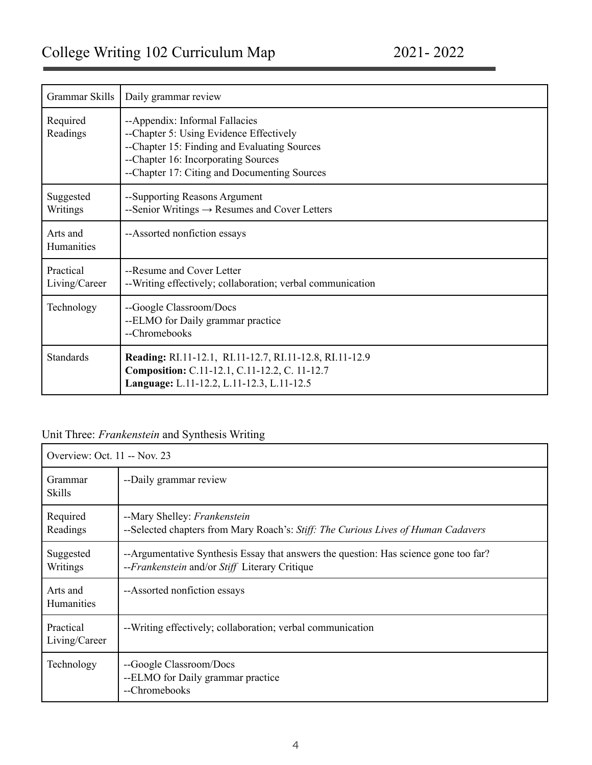| Grammar Skills             | Daily grammar review                                                                                                                                                                                             |
|----------------------------|------------------------------------------------------------------------------------------------------------------------------------------------------------------------------------------------------------------|
| Required<br>Readings       | --Appendix: Informal Fallacies<br>--Chapter 5: Using Evidence Effectively<br>--Chapter 15: Finding and Evaluating Sources<br>--Chapter 16: Incorporating Sources<br>--Chapter 17: Citing and Documenting Sources |
| Suggested<br>Writings      | --Supporting Reasons Argument<br>--Senior Writings $\rightarrow$ Resumes and Cover Letters                                                                                                                       |
| Arts and<br>Humanities     | --Assorted nonfiction essays                                                                                                                                                                                     |
| Practical<br>Living/Career | --Resume and Cover Letter<br>--Writing effectively; collaboration; verbal communication                                                                                                                          |
| Technology                 | --Google Classroom/Docs<br>--ELMO for Daily grammar practice<br>--Chromebooks                                                                                                                                    |
| <b>Standards</b>           | Reading: RI.11-12.1, RI.11-12.7, RI.11-12.8, RI.11-12.9<br>Composition: C.11-12.1, C.11-12.2, C. 11-12.7<br>Language: L.11-12.2, L.11-12.3, L.11-12.5                                                            |

# Unit Three: *Frankenstein* and Synthesis Writing

| Overview: Oct. 11 -- Nov. 23  |                                                                                                                                       |
|-------------------------------|---------------------------------------------------------------------------------------------------------------------------------------|
| Grammar<br>Skills             | --Daily grammar review                                                                                                                |
| Required<br>Readings          | --Mary Shelley: Frankenstein<br>--Selected chapters from Mary Roach's: Stiff: The Curious Lives of Human Cadavers                     |
| Suggested<br>Writings         | --Argumentative Synthesis Essay that answers the question: Has science gone too far?<br>--Frankenstein and/or Stiff Literary Critique |
| Arts and<br><b>Humanities</b> | --Assorted nonfiction essays                                                                                                          |
| Practical<br>Living/Career    | --Writing effectively; collaboration; verbal communication                                                                            |
| Technology                    | --Google Classroom/Docs<br>--ELMO for Daily grammar practice<br>--Chromebooks                                                         |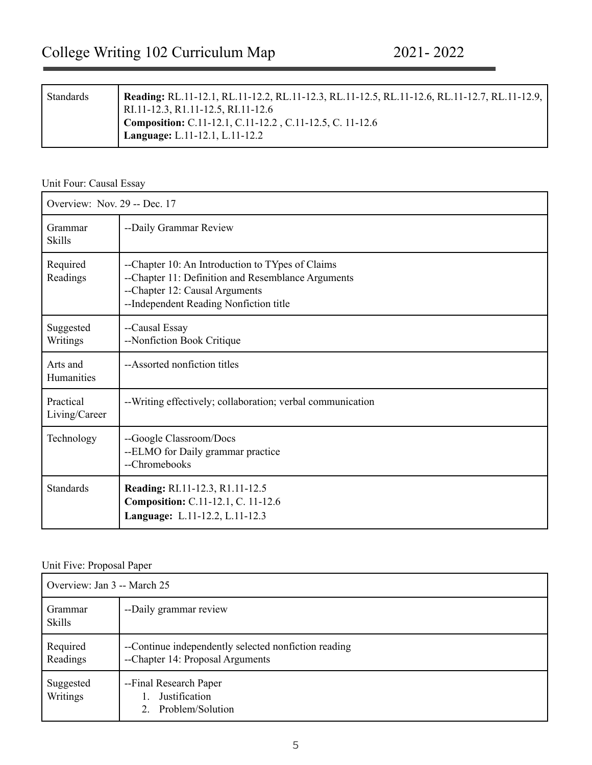| Standards | Reading: RL.11-12.1, RL.11-12.2, RL.11-12.3, RL.11-12.5, RL.11-12.6, RL.11-12.7, RL.11-12.9,<br>RI.11-12.3, R1.11-12.5, RI.11-12.6 |
|-----------|------------------------------------------------------------------------------------------------------------------------------------|
|           | Composition: C.11-12.1, C.11-12.2, C.11-12.5, C. 11-12.6<br>Language: L.11-12.1, L.11-12.2                                         |

#### Unit Four: Causal Essay

| Overview: Nov. 29 -- Dec. 17 |                                                                                                                                                                                    |
|------------------------------|------------------------------------------------------------------------------------------------------------------------------------------------------------------------------------|
| Grammar<br><b>Skills</b>     | --Daily Grammar Review                                                                                                                                                             |
| Required<br>Readings         | --Chapter 10: An Introduction to TYpes of Claims<br>--Chapter 11: Definition and Resemblance Arguments<br>--Chapter 12: Causal Arguments<br>--Independent Reading Nonfiction title |
| Suggested<br>Writings        | --Causal Essay<br>--Nonfiction Book Critique                                                                                                                                       |
| Arts and<br>Humanities       | --Assorted nonfiction titles                                                                                                                                                       |
| Practical<br>Living/Career   | --Writing effectively; collaboration; verbal communication                                                                                                                         |
| Technology                   | --Google Classroom/Docs<br>--ELMO for Daily grammar practice<br>--Chromebooks                                                                                                      |
| <b>Standards</b>             | Reading: RI.11-12.3, R1.11-12.5<br>Composition: C.11-12.1, C. 11-12.6<br>Language: L.11-12.2, L.11-12.3                                                                            |

## Unit Five: Proposal Paper

| Overview: Jan 3 -- March 25 |                                                                                          |
|-----------------------------|------------------------------------------------------------------------------------------|
| Grammar<br><b>Skills</b>    | --Daily grammar review                                                                   |
| Required<br>Readings        | --Continue independently selected nonfiction reading<br>--Chapter 14: Proposal Arguments |
| Suggested<br>Writings       | --Final Research Paper<br>Justification<br>Problem/Solution                              |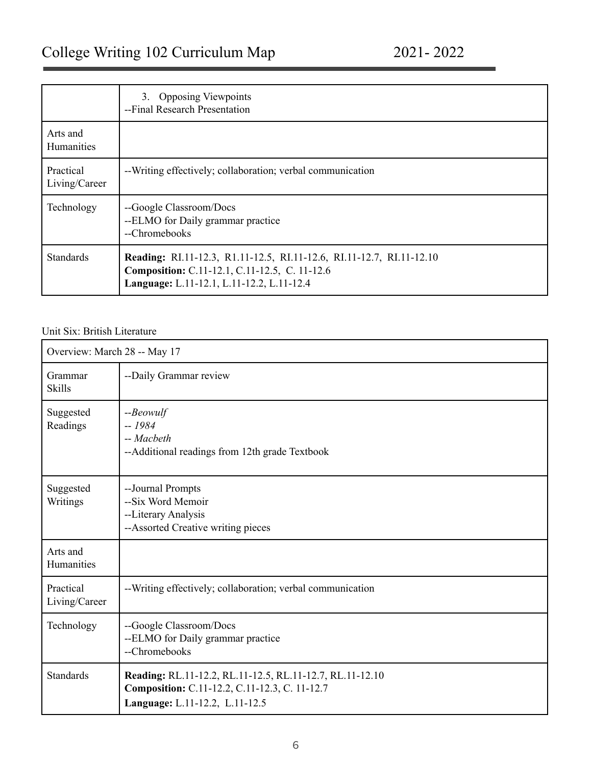|                               | 3. Opposing Viewpoints<br>--Final Research Presentation                                                                                                            |
|-------------------------------|--------------------------------------------------------------------------------------------------------------------------------------------------------------------|
| Arts and<br><b>Humanities</b> |                                                                                                                                                                    |
| Practical<br>Living/Career    | --Writing effectively; collaboration; verbal communication                                                                                                         |
| Technology                    | --Google Classroom/Docs<br>--ELMO for Daily grammar practice<br>--Chromebooks                                                                                      |
| <b>Standards</b>              | Reading: RI.11-12.3, R1.11-12.5, RI.11-12.6, RI.11-12.7, RI.11-12.10<br>Composition: C.11-12.1, C.11-12.5, C. 11-12.6<br>Language: L.11-12.1, L.11-12.2, L.11-12.4 |

#### Unit Six: British Literature

| Overview: March 28 -- May 17 |                                                                                                                                             |
|------------------------------|---------------------------------------------------------------------------------------------------------------------------------------------|
| Grammar<br><b>Skills</b>     | --Daily Grammar review                                                                                                                      |
| Suggested<br>Readings        | $-$ <i>Beowulf</i><br>$-1984$<br>-- Macbeth<br>--Additional readings from 12th grade Textbook                                               |
| Suggested<br>Writings        | --Journal Prompts<br>--Six Word Memoir<br>--Literary Analysis<br>--Assorted Creative writing pieces                                         |
| Arts and<br>Humanities       |                                                                                                                                             |
| Practical<br>Living/Career   | --Writing effectively; collaboration; verbal communication                                                                                  |
| Technology                   | --Google Classroom/Docs<br>--ELMO for Daily grammar practice<br>--Chromebooks                                                               |
| <b>Standards</b>             | Reading: RL.11-12.2, RL.11-12.5, RL.11-12.7, RL.11-12.10<br>Composition: C.11-12.2, C.11-12.3, C. 11-12.7<br>Language: L.11-12.2, L.11-12.5 |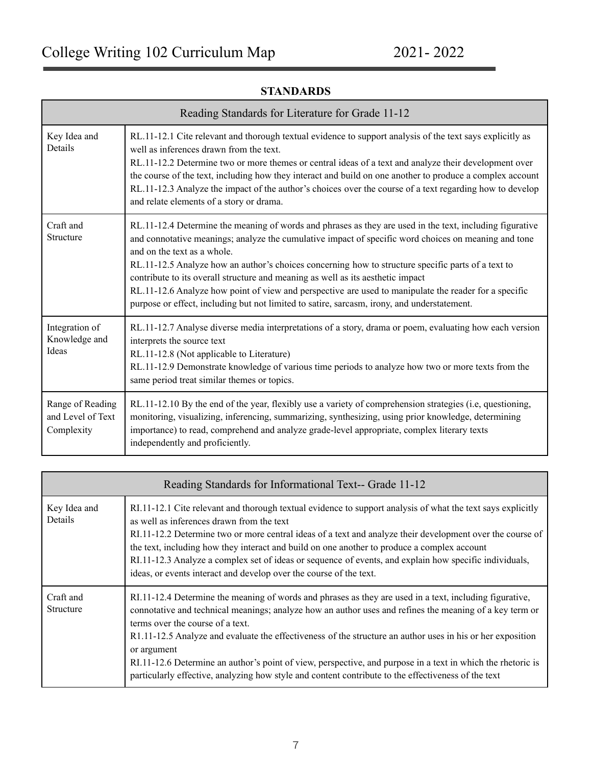| Reading Standards for Literature for Grade 11-12    |                                                                                                                                                                                                                                                                                                                                                                                                                                                                                                                                                                                                                                                  |
|-----------------------------------------------------|--------------------------------------------------------------------------------------------------------------------------------------------------------------------------------------------------------------------------------------------------------------------------------------------------------------------------------------------------------------------------------------------------------------------------------------------------------------------------------------------------------------------------------------------------------------------------------------------------------------------------------------------------|
| Key Idea and<br>Details                             | RL.11-12.1 Cite relevant and thorough textual evidence to support analysis of the text says explicitly as<br>well as inferences drawn from the text.<br>RL.11-12.2 Determine two or more themes or central ideas of a text and analyze their development over<br>the course of the text, including how they interact and build on one another to produce a complex account<br>RL.11-12.3 Analyze the impact of the author's choices over the course of a text regarding how to develop<br>and relate elements of a story or drama.                                                                                                               |
| Craft and<br>Structure                              | RL.11-12.4 Determine the meaning of words and phrases as they are used in the text, including figurative<br>and connotative meanings; analyze the cumulative impact of specific word choices on meaning and tone<br>and on the text as a whole.<br>RL.11-12.5 Analyze how an author's choices concerning how to structure specific parts of a text to<br>contribute to its overall structure and meaning as well as its aesthetic impact<br>RL.11-12.6 Analyze how point of view and perspective are used to manipulate the reader for a specific<br>purpose or effect, including but not limited to satire, sarcasm, irony, and understatement. |
| Integration of<br>Knowledge and<br>Ideas            | RL.11-12.7 Analyse diverse media interpretations of a story, drama or poem, evaluating how each version<br>interprets the source text<br>RL.11-12.8 (Not applicable to Literature)<br>RL.11-12.9 Demonstrate knowledge of various time periods to analyze how two or more texts from the<br>same period treat similar themes or topics.                                                                                                                                                                                                                                                                                                          |
| Range of Reading<br>and Level of Text<br>Complexity | RL.11-12.10 By the end of the year, flexibly use a variety of comprehension strategies (i.e, questioning,<br>monitoring, visualizing, inferencing, summarizing, synthesizing, using prior knowledge, determining<br>importance) to read, comprehend and analyze grade-level appropriate, complex literary texts<br>independently and proficiently.                                                                                                                                                                                                                                                                                               |

## **STANDARDS**

| Reading Standards for Informational Text-- Grade 11-12 |                                                                                                                                                                                                                                                                                                                                                                                                                                                                                                                                                                                                           |  |
|--------------------------------------------------------|-----------------------------------------------------------------------------------------------------------------------------------------------------------------------------------------------------------------------------------------------------------------------------------------------------------------------------------------------------------------------------------------------------------------------------------------------------------------------------------------------------------------------------------------------------------------------------------------------------------|--|
| Key Idea and<br>Details                                | RI.11-12.1 Cite relevant and thorough textual evidence to support analysis of what the text says explicitly<br>as well as inferences drawn from the text<br>RI.11-12.2 Determine two or more central ideas of a text and analyze their development over the course of<br>the text, including how they interact and build on one another to produce a complex account<br>RI.11-12.3 Analyze a complex set of ideas or sequence of events, and explain how specific individuals,<br>ideas, or events interact and develop over the course of the text.                                                      |  |
| Craft and<br>Structure                                 | RI.11-12.4 Determine the meaning of words and phrases as they are used in a text, including figurative,<br>connotative and technical meanings; analyze how an author uses and refines the meaning of a key term or<br>terms over the course of a text.<br>R1.11-12.5 Analyze and evaluate the effectiveness of the structure an author uses in his or her exposition<br>or argument<br>RI.11-12.6 Determine an author's point of view, perspective, and purpose in a text in which the rhetoric is<br>particularly effective, analyzing how style and content contribute to the effectiveness of the text |  |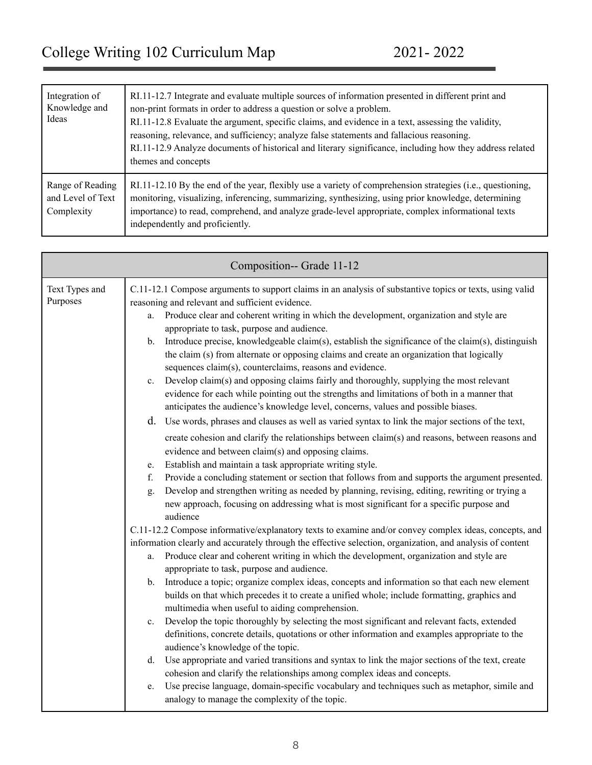| Integration of<br>Knowledge and<br>Ideas            | RI.11-12.7 Integrate and evaluate multiple sources of information presented in different print and<br>non-print formats in order to address a question or solve a problem.<br>RI.11-12.8 Evaluate the argument, specific claims, and evidence in a text, assessing the validity,<br>reasoning, relevance, and sufficiency; analyze false statements and fallacious reasoning.<br>RI.11-12.9 Analyze documents of historical and literary significance, including how they address related<br>themes and concepts |
|-----------------------------------------------------|------------------------------------------------------------------------------------------------------------------------------------------------------------------------------------------------------------------------------------------------------------------------------------------------------------------------------------------------------------------------------------------------------------------------------------------------------------------------------------------------------------------|
| Range of Reading<br>and Level of Text<br>Complexity | RI.11-12.10 By the end of the year, flexibly use a variety of comprehension strategies (i.e., questioning,<br>monitoring, visualizing, inferencing, summarizing, synthesizing, using prior knowledge, determining<br>importance) to read, comprehend, and analyze grade-level appropriate, complex informational texts<br>independently and proficiently.                                                                                                                                                        |

| Composition-- Grade 11-12  |                                                                                                                                                                                                                                                                                                                                                                                                                                                                                                                                                                                                                                                                                                                                                                                                                                                                                                                                                                                                                                                                                                                                                                                                                                                                                                                                                                                                                                                                                                                                                                                                                                                                                                                                                                                                                                                                                                                                                                                                                                                                                                                                                                                                                                                                                                                                                                                                                                                                                                                                                                                                                                                                                                                                                                                        |  |  |
|----------------------------|----------------------------------------------------------------------------------------------------------------------------------------------------------------------------------------------------------------------------------------------------------------------------------------------------------------------------------------------------------------------------------------------------------------------------------------------------------------------------------------------------------------------------------------------------------------------------------------------------------------------------------------------------------------------------------------------------------------------------------------------------------------------------------------------------------------------------------------------------------------------------------------------------------------------------------------------------------------------------------------------------------------------------------------------------------------------------------------------------------------------------------------------------------------------------------------------------------------------------------------------------------------------------------------------------------------------------------------------------------------------------------------------------------------------------------------------------------------------------------------------------------------------------------------------------------------------------------------------------------------------------------------------------------------------------------------------------------------------------------------------------------------------------------------------------------------------------------------------------------------------------------------------------------------------------------------------------------------------------------------------------------------------------------------------------------------------------------------------------------------------------------------------------------------------------------------------------------------------------------------------------------------------------------------------------------------------------------------------------------------------------------------------------------------------------------------------------------------------------------------------------------------------------------------------------------------------------------------------------------------------------------------------------------------------------------------------------------------------------------------------------------------------------------------|--|--|
| Text Types and<br>Purposes | C.11-12.1 Compose arguments to support claims in an analysis of substantive topics or texts, using valid<br>reasoning and relevant and sufficient evidence.<br>Produce clear and coherent writing in which the development, organization and style are<br>a.<br>appropriate to task, purpose and audience.<br>Introduce precise, knowledgeable claim(s), establish the significance of the claim(s), distinguish<br>$\mathbf{b}$ .<br>the claim (s) from alternate or opposing claims and create an organization that logically<br>sequences claim(s), counterclaims, reasons and evidence.<br>Develop claim(s) and opposing claims fairly and thoroughly, supplying the most relevant<br>$c_{\cdot}$<br>evidence for each while pointing out the strengths and limitations of both in a manner that<br>anticipates the audience's knowledge level, concerns, values and possible biases.<br>d. Use words, phrases and clauses as well as varied syntax to link the major sections of the text,<br>create cohesion and clarify the relationships between claim(s) and reasons, between reasons and<br>evidence and between claim(s) and opposing claims.<br>Establish and maintain a task appropriate writing style.<br>e.<br>Provide a concluding statement or section that follows from and supports the argument presented.<br>f.<br>Develop and strengthen writing as needed by planning, revising, editing, rewriting or trying a<br>g.<br>new approach, focusing on addressing what is most significant for a specific purpose and<br>audience<br>C.11-12.2 Compose informative/explanatory texts to examine and/or convey complex ideas, concepts, and<br>information clearly and accurately through the effective selection, organization, and analysis of content<br>Produce clear and coherent writing in which the development, organization and style are<br>a.<br>appropriate to task, purpose and audience.<br>Introduce a topic; organize complex ideas, concepts and information so that each new element<br>b.<br>builds on that which precedes it to create a unified whole; include formatting, graphics and<br>multimedia when useful to aiding comprehension.<br>Develop the topic thoroughly by selecting the most significant and relevant facts, extended<br>$c_{\cdot}$<br>definitions, concrete details, quotations or other information and examples appropriate to the<br>audience's knowledge of the topic.<br>Use appropriate and varied transitions and syntax to link the major sections of the text, create<br>d.<br>cohesion and clarify the relationships among complex ideas and concepts.<br>Use precise language, domain-specific vocabulary and techniques such as metaphor, simile and<br>e.<br>analogy to manage the complexity of the topic. |  |  |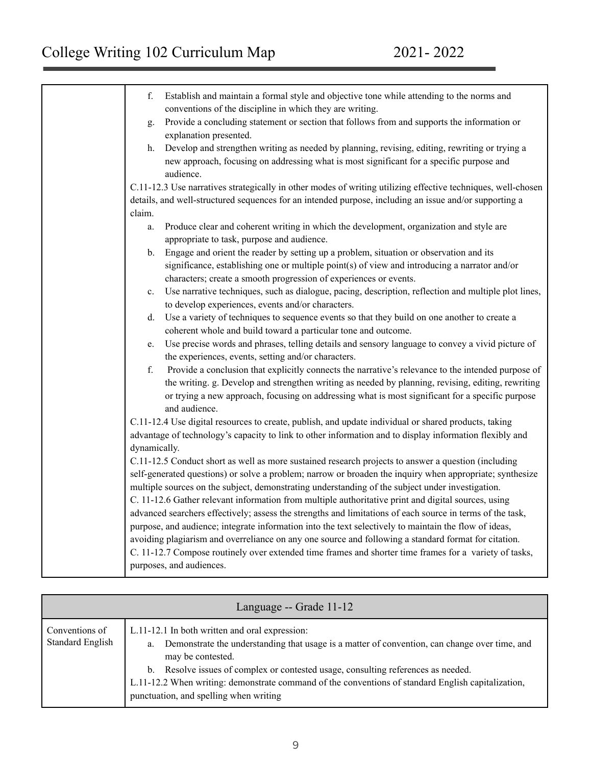| Establish and maintain a formal style and objective tone while attending to the norms and<br>f.<br>conventions of the discipline in which they are writing.              |
|--------------------------------------------------------------------------------------------------------------------------------------------------------------------------|
|                                                                                                                                                                          |
| Provide a concluding statement or section that follows from and supports the information or<br>g.<br>explanation presented.                                              |
| Develop and strengthen writing as needed by planning, revising, editing, rewriting or trying a<br>h.                                                                     |
| new approach, focusing on addressing what is most significant for a specific purpose and<br>audience.                                                                    |
| C.11-12.3 Use narratives strategically in other modes of writing utilizing effective techniques, well-chosen                                                             |
| details, and well-structured sequences for an intended purpose, including an issue and/or supporting a                                                                   |
| claim.                                                                                                                                                                   |
| Produce clear and coherent writing in which the development, organization and style are<br>a.                                                                            |
| appropriate to task, purpose and audience.                                                                                                                               |
| Engage and orient the reader by setting up a problem, situation or observation and its<br>$b_{-}$                                                                        |
| significance, establishing one or multiple point(s) of view and introducing a narrator and/or<br>characters; create a smooth progression of experiences or events.       |
| Use narrative techniques, such as dialogue, pacing, description, reflection and multiple plot lines,<br>$c_{\cdot}$<br>to develop experiences, events and/or characters. |
| Use a variety of techniques to sequence events so that they build on one another to create a<br>d.                                                                       |
| coherent whole and build toward a particular tone and outcome.                                                                                                           |
| Use precise words and phrases, telling details and sensory language to convey a vivid picture of<br>e.                                                                   |
| the experiences, events, setting and/or characters.                                                                                                                      |
| f.<br>Provide a conclusion that explicitly connects the narrative's relevance to the intended purpose of                                                                 |
| the writing. g. Develop and strengthen writing as needed by planning, revising, editing, rewriting                                                                       |
| or trying a new approach, focusing on addressing what is most significant for a specific purpose                                                                         |
| and audience.                                                                                                                                                            |
| C.11-12.4 Use digital resources to create, publish, and update individual or shared products, taking                                                                     |
| advantage of technology's capacity to link to other information and to display information flexibly and                                                                  |
| dynamically.                                                                                                                                                             |
| C.11-12.5 Conduct short as well as more sustained research projects to answer a question (including                                                                      |
| self-generated questions) or solve a problem; narrow or broaden the inquiry when appropriate; synthesize                                                                 |
| multiple sources on the subject, demonstrating understanding of the subject under investigation.                                                                         |
| C. 11-12.6 Gather relevant information from multiple authoritative print and digital sources, using                                                                      |
| advanced searchers effectively; assess the strengths and limitations of each source in terms of the task,                                                                |
| purpose, and audience; integrate information into the text selectively to maintain the flow of ideas,                                                                    |
|                                                                                                                                                                          |
| avoiding plagiarism and overreliance on any one source and following a standard format for citation.                                                                     |
| C. 11-12.7 Compose routinely over extended time frames and shorter time frames for a variety of tasks,                                                                   |
| purposes, and audiences.                                                                                                                                                 |

| Language -- Grade 11-12                   |                                                                                                                                                                                                                                                                                                                                                                                                                 |  |  |
|-------------------------------------------|-----------------------------------------------------------------------------------------------------------------------------------------------------------------------------------------------------------------------------------------------------------------------------------------------------------------------------------------------------------------------------------------------------------------|--|--|
| Conventions of<br><b>Standard English</b> | L.11-12.1 In both written and oral expression:<br>Demonstrate the understanding that usage is a matter of convention, can change over time, and<br>a.<br>may be contested.<br>b. Resolve issues of complex or contested usage, consulting references as needed.<br>L.11-12.2 When writing: demonstrate command of the conventions of standard English capitalization,<br>punctuation, and spelling when writing |  |  |